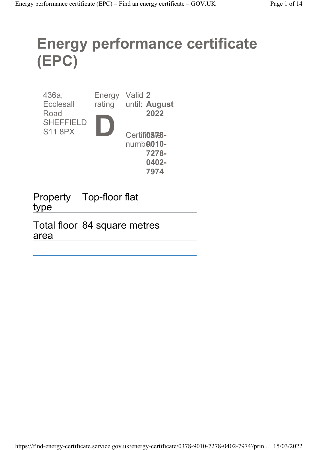# Energy performance certificate (EPC)

| 436a,<br><b>Ecclesall</b><br>Road  | Energy<br>rating | Valid 2<br>until: August<br>2022                            |
|------------------------------------|------------------|-------------------------------------------------------------|
| <b>SHEFFIELD</b><br><b>S11 8PX</b> |                  | Certifi <sub>03</sub> <sub>768</sub> -<br>numb <b>9010-</b> |
|                                    |                  | 7278-<br>0402-                                              |
|                                    |                  | 797                                                         |

Property Top-floor flat type

Total floor 84 square metres area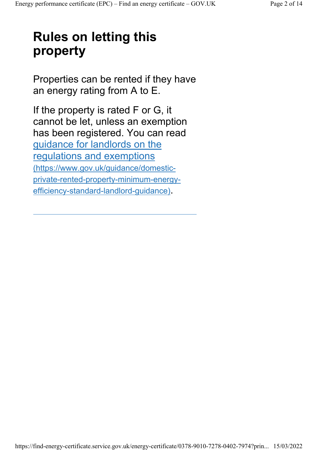# Rules on letting this property

Properties can be rented if they have an energy rating from A to E.

If the property is rated F or G, it cannot be let, unless an exemption has been registered. You can read guidance for landlords on the regulations and exemptions (https://www.gov.uk/guidance/domesticprivate-rented-property-minimum-energyefficiency-standard-landlord-guidance).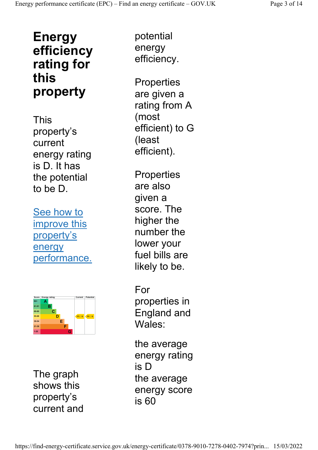## Energy efficiency rating for this property

This property's current energy rating is D. It has the potential to be D.

See how to improve this property's energy performance.



The graph shows this property's current and

potential energy efficiency.

**Properties** are given a rating from A (most efficient) to G (least efficient).

**Properties** are also given a score. The higher the number the lower your fuel bills are likely to be.

For properties in England and Wales:

the average energy rating is D the average energy score is 60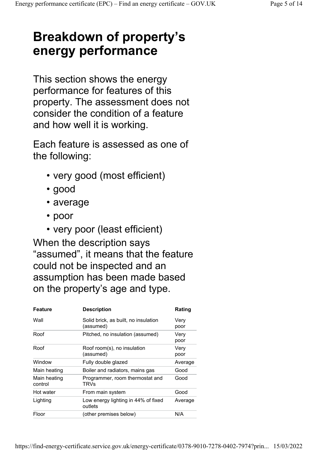# Breakdown of property's energy performance

This section shows the energy performance for features of this property. The assessment does not consider the condition of a feature and how well it is working.

Each feature is assessed as one of the following:

- very good (most efficient)
- good
- average
- poor
- very poor (least efficient)

When the description says "assumed", it means that the feature could not be inspected and an assumption has been made based on the property's age and type.

| <b>Feature</b>          | <b>Description</b>                                | Rating       |
|-------------------------|---------------------------------------------------|--------------|
| Wall                    | Solid brick, as built, no insulation<br>(assumed) | Very<br>poor |
| Roof                    | Pitched, no insulation (assumed)                  | Very<br>poor |
| Roof                    | Roof room(s), no insulation<br>(assumed)          | Very<br>poor |
| Window                  | Fully double glazed                               | Average      |
| Main heating            | Boiler and radiators, mains gas                   | Good         |
| Main heating<br>control | Programmer, room thermostat and<br><b>TRVs</b>    | Good         |
| Hot water               | From main system                                  | Good         |
| Lighting                | Low energy lighting in 44% of fixed<br>outlets    | Average      |
| Floor                   | (other premises below)                            | N/A          |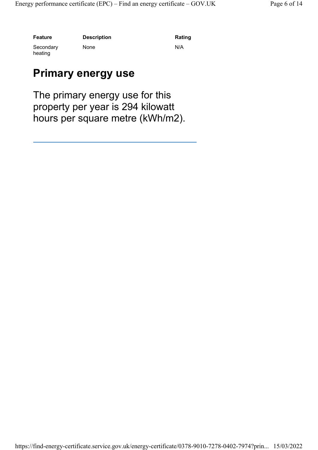Feature Description Description Rating

#### Secondary heating

None N/A

#### Primary energy use

The primary energy use for this property per year is 294 kilowatt hours per square metre (kWh/m2).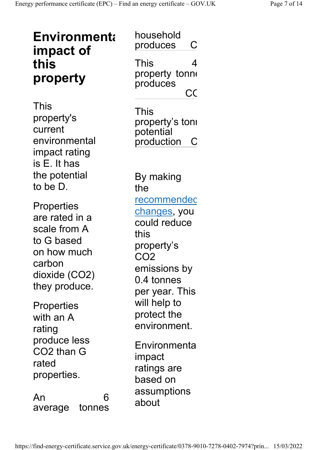| <b>Environmenta</b><br>impact of<br>this                                                                                     | household<br>produces<br>C<br>This<br>4                                                                                                             |
|------------------------------------------------------------------------------------------------------------------------------|-----------------------------------------------------------------------------------------------------------------------------------------------------|
| property                                                                                                                     | property tonne<br>produces<br>CC                                                                                                                    |
| This<br>property's<br>current<br>environmental<br>impact rating<br>is E. It has                                              | This<br>property's tonı<br>potential<br>production                                                                                                  |
| the potential<br>to be D.                                                                                                    | By making<br>the                                                                                                                                    |
| <b>Properties</b><br>are rated in a<br>scale from A<br>to G based<br>on how much<br>carbon<br>dioxide (CO2)<br>they produce. | <u>recommendec</u><br><u>changes</u> , you<br>could reduce<br>this<br>property's<br>CO <sub>2</sub><br>emissions by<br>0.4 tonnes<br>per year. This |
| <b>Properties</b><br>with an A<br>rating                                                                                     | will help to<br>protect the<br>environment.                                                                                                         |
| produce less<br>CO2 than G<br>rated<br>properties.                                                                           | Environmenta<br>impact<br>ratings are<br>based on                                                                                                   |
| An<br>6<br>tonnes<br>average                                                                                                 | assumptions<br>about                                                                                                                                |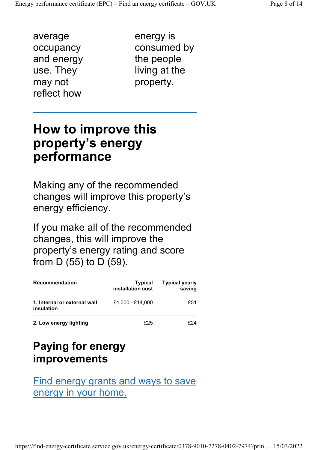average occupancy and energy use. They may not reflect how

energy is consumed by the people living at the property.

### How to improve this property's energy performance

Making any of the recommended changes will improve this property's energy efficiency.

If you make all of the recommended changes, this will improve the property's energy rating and score from D (55) to D (59).

| <b>Recommendation</b>                      | <b>Typical</b><br>installation cost | <b>Typical yearly</b><br>saving |
|--------------------------------------------|-------------------------------------|---------------------------------|
| 1. Internal or external wall<br>insulation | £4,000 - £14,000                    | £51                             |
| 2. Low energy lighting                     | £25                                 | F74                             |

#### Paying for energy improvements

Find energy grants and ways to save energy in your home.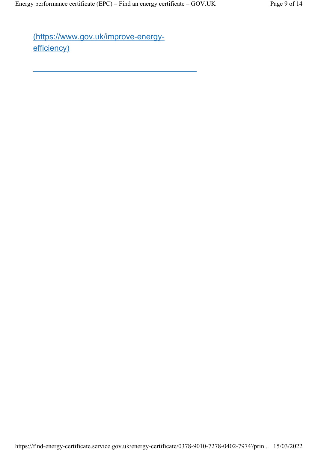(https://www.gov.uk/improve-energyefficiency)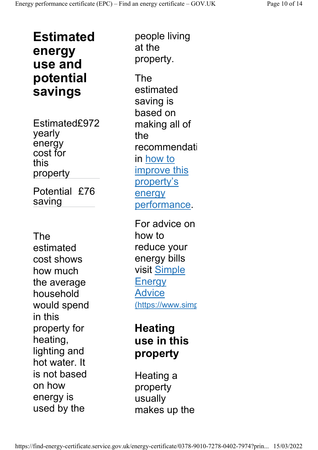Estimated energy use and potential savings

Estimated£972 yearly energy cost for this property Potential £76 saving

The estimated cost shows how much the average household would spend in this property for heating, lighting and hot water. It is not based on how energy is used by the

people living at the property. The estimated

saving is based on making all of the recommendati in how to improve this property's energy performance.

For advice on how to reduce your energy bills visit Simple **Energy** Advice (https://www.simp

#### **Heating** use in this property

Heating a property usually makes up the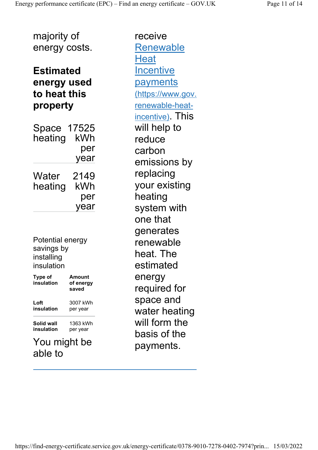majority of energy costs.

#### Estimated energy used to heat this property

Space 17525 heating kWh per year **Water** heating 2149 kWh per year

Potential energy savings by installing insulation

| <b>Type of</b><br>insulation | Amount<br>of energy<br>saved |
|------------------------------|------------------------------|
| Loft                         | 3007 kWh                     |
| insulation                   | per year                     |
| Solid wall                   | 1363 kWh                     |
| insulation                   | per year                     |
| <b>V</b> ou                  | might he                     |

You might be able to

receive Renewable **Heat Incentive** payments (https://www.gov. renewable-heatincentive). This will help to reduce carbon emissions by replacing your existing heating system with one that generates renewable heat. The estimated energy required for space and water heating will form the basis of the payments.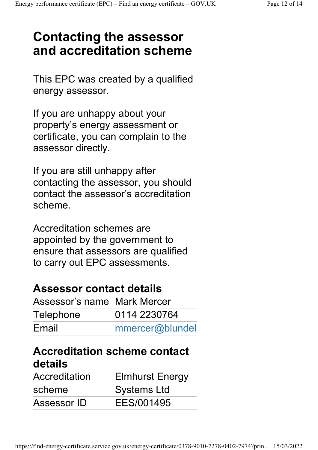# Contacting the assessor and accreditation scheme

This EPC was created by a qualified energy assessor.

If you are unhappy about your property's energy assessment or certificate, you can complain to the assessor directly.

If you are still unhappy after contacting the assessor, you should contact the assessor's accreditation scheme.

Accreditation schemes are appointed by the government to ensure that assessors are qualified to carry out EPC assessments.

#### Assessor contact details

| Assessor's name Mark Mercer |                 |
|-----------------------------|-----------------|
| Telephone                   | 0114 2230764    |
| Email                       | mmercer@blundel |

#### Accreditation scheme contact details

| Accreditation | <b>Elmhurst Energy</b> |
|---------------|------------------------|
| scheme        | <b>Systems Ltd</b>     |
| Assessor ID   | EES/001495             |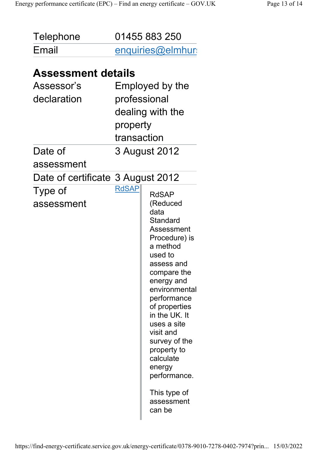| Telephone | 01455 883 250    |
|-----------|------------------|
| Email     | enquiries@elmhur |

#### Assessment details

| Assessor's                        |              | Employed by the                                                                                                                                                                                                                                                                                                                                                   |
|-----------------------------------|--------------|-------------------------------------------------------------------------------------------------------------------------------------------------------------------------------------------------------------------------------------------------------------------------------------------------------------------------------------------------------------------|
| declaration                       |              | professional                                                                                                                                                                                                                                                                                                                                                      |
|                                   |              | dealing with the                                                                                                                                                                                                                                                                                                                                                  |
|                                   | property     |                                                                                                                                                                                                                                                                                                                                                                   |
|                                   | transaction  |                                                                                                                                                                                                                                                                                                                                                                   |
| Date of                           |              | 3 August 2012                                                                                                                                                                                                                                                                                                                                                     |
| assessment                        |              |                                                                                                                                                                                                                                                                                                                                                                   |
| Date of certificate 3 August 2012 |              |                                                                                                                                                                                                                                                                                                                                                                   |
| Type of<br>assessment             | <b>RdSAP</b> | <b>RdSAP</b><br>(Reduced<br>data<br>Standard<br><b>Assessment</b><br>Procedure) is<br>a method<br>used to<br>assess and<br>compare the<br>energy and<br>environmental<br>performance<br>of properties<br>in the UK. It<br>uses a site<br>visit and<br>survey of the<br>property to<br>calculate<br>energy<br>performance.<br>This type of<br>assessment<br>can be |